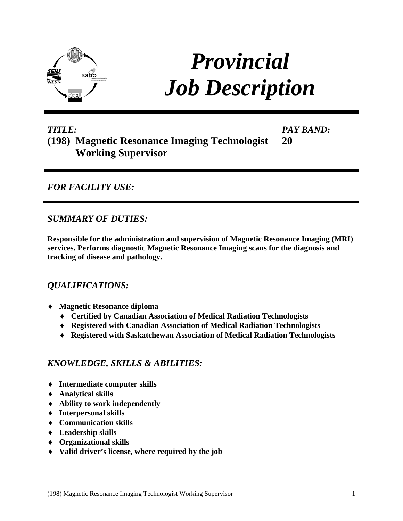

# *Provincial Job Description*

#### *TITLE:* **(198) Magnetic Resonance Imaging Technologist Working Supervisor** *PAY BAND:* **20**

*FOR FACILITY USE:*

*SUMMARY OF DUTIES:*

**Responsible for the administration and supervision of Magnetic Resonance Imaging (MRI) services. Performs diagnostic Magnetic Resonance Imaging scans for the diagnosis and tracking of disease and pathology.**

## *QUALIFICATIONS:*

- ♦ **Magnetic Resonance diploma** 
	- ♦ **Certified by Canadian Association of Medical Radiation Technologists**
	- ♦ **Registered with Canadian Association of Medical Radiation Technologists**
	- ♦ **Registered with Saskatchewan Association of Medical Radiation Technologists**

## *KNOWLEDGE, SKILLS & ABILITIES:*

- ♦ **Intermediate computer skills**
- ♦ **Analytical skills**
- ♦ **Ability to work independently**
- ♦ **Interpersonal skills**
- ♦ **Communication skills**
- ♦ **Leadership skills**
- ♦ **Organizational skills**
- ♦ **Valid driver's license, where required by the job**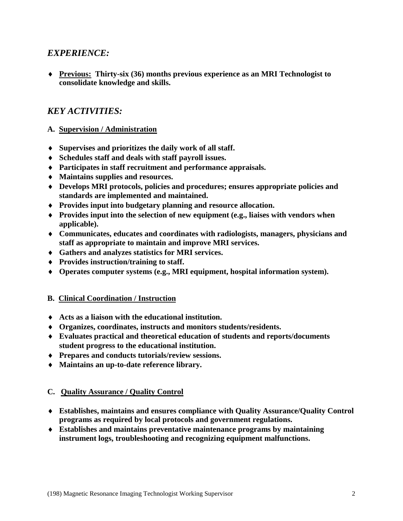## *EXPERIENCE:*

♦ **Previous: Thirty-six (36) months previous experience as an MRI Technologist to consolidate knowledge and skills.** 

## *KEY ACTIVITIES:*

- **A. Supervision / Administration**
- ♦ **Supervises and prioritizes the daily work of all staff.**
- ♦ **Schedules staff and deals with staff payroll issues.**
- ♦ **Participates in staff recruitment and performance appraisals.**
- ♦ **Maintains supplies and resources.**
- ♦ **Develops MRI protocols, policies and procedures; ensures appropriate policies and standards are implemented and maintained.**
- ♦ **Provides input into budgetary planning and resource allocation.**
- ♦ **Provides input into the selection of new equipment (e.g., liaises with vendors when applicable).**
- ♦ **Communicates, educates and coordinates with radiologists, managers, physicians and staff as appropriate to maintain and improve MRI services.**
- ♦ **Gathers and analyzes statistics for MRI services.**
- ♦ **Provides instruction/training to staff.**
- ♦ **Operates computer systems (e.g., MRI equipment, hospital information system).**

### **B. Clinical Coordination / Instruction**

- ♦ **Acts as a liaison with the educational institution.**
- ♦ **Organizes, coordinates, instructs and monitors students/residents.**
- ♦ **Evaluates practical and theoretical education of students and reports/documents student progress to the educational institution.**
- ♦ **Prepares and conducts tutorials/review sessions.**
- ♦ **Maintains an up-to-date reference library.**

### **C. Quality Assurance / Quality Control**

- ♦ **Establishes, maintains and ensures compliance with Quality Assurance/Quality Control programs as required by local protocols and government regulations.**
- ♦ **Establishes and maintains preventative maintenance programs by maintaining instrument logs, troubleshooting and recognizing equipment malfunctions.**